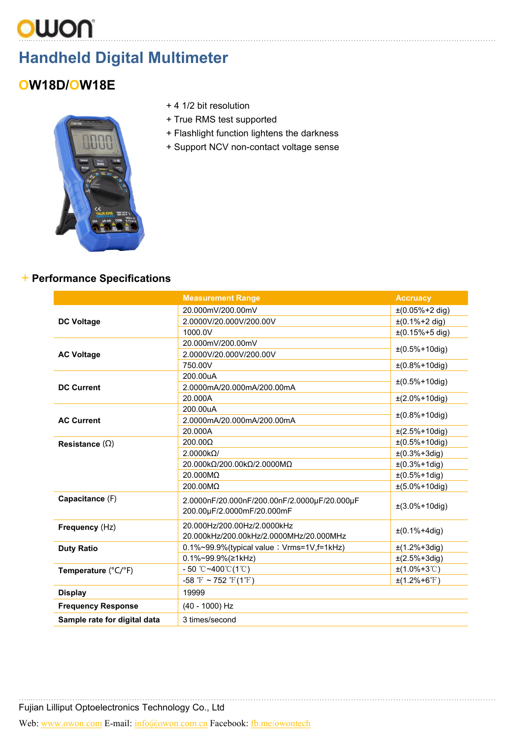# …...………………..…………………………………………………………………………………………………………………………………………

## **Handheld Digital Multimeter**

## **OW18D/OW18E**

- + 4 1/2 bit resolution
- + True RMS test supported
- + Flashlight function lightens the darkness
- + Support NCV non-contact voltage sense



#### +**Performance Specifications**

|                              | <b>Measurement Range</b>                                                   | <b>Accruacy</b>                |  |
|------------------------------|----------------------------------------------------------------------------|--------------------------------|--|
|                              | 20.000mV/200.00mV                                                          | $\pm (0.05\% + 2 \text{ dig})$ |  |
| <b>DC Voltage</b>            | 2.0000V/20.000V/200.00V<br>$\pm (0.1\% + 2 \text{ dig})$                   |                                |  |
|                              | 1000.0V                                                                    | $\pm (0.15\% + 5$ dig)         |  |
|                              | 20.000mV/200.00mV                                                          | $±(0.5%+10dig)$                |  |
| <b>AC Voltage</b>            | 2.0000V/20.000V/200.00V                                                    |                                |  |
|                              | 750.00V                                                                    | $±(0.8%+10dig)$                |  |
|                              | 200.00uA                                                                   |                                |  |
| <b>DC Current</b>            | 2.0000mA/20.000mA/200.00mA                                                 | $±(0.5%+10dig)$                |  |
|                              | 20.000A                                                                    | $\pm (2.0\% + 10$ dig)         |  |
|                              | 200.00uA                                                                   | $±(0.8%+10dig)$                |  |
| <b>AC Current</b>            | 2.0000mA/20.000mA/200.00mA                                                 |                                |  |
|                              | 20.000A                                                                    | $\pm$ (2.5%+10dig)             |  |
| Resistance $(\Omega)$        | $200.00\Omega$                                                             | $\pm (0.5\% + 10$ dig)         |  |
|                              | $2.0000k\Omega/$                                                           | $\pm (0.3\% + 3\,\text{dig})$  |  |
|                              | 20.000kΩ/200.00kΩ/2.0000MΩ                                                 | $±(0.3%+1dig)$                 |  |
|                              | 20.000MΩ                                                                   | $\pm (0.5\% + 1 \,\text{dig})$ |  |
|                              | 200.00MΩ                                                                   | $\pm(5.0\% + 10\text{dig})$    |  |
| Capacitance (F)              | 2.0000nF/20.000nF/200.00nF/2.0000uF/20.000uF<br>200.00µF/2.0000mF/20.000mF | $\pm(3.0\% + 10\text{dig})$    |  |
| Frequency (Hz)               | 20.000Hz/200.00Hz/2.0000kHz<br>20.000kHz/200.00kHz/2.0000MHz/20.000MHz     | $±(0.1%+4dig)$                 |  |
| <b>Duty Ratio</b>            | 0.1%~99.9%(typical value: Vrms=1V,f=1kHz)                                  | $\pm$ (1.2%+3dig)              |  |
|                              | 0.1%~99.9%(≥1kHz)                                                          | $±(2.5%+3dig)$                 |  |
| Temperature (°C/°F)          | $-50$ °C ~400 °C (1 °C)                                                    | $\pm$ (1.0%+3°C)               |  |
|                              | -58 $\mathrm{F} \sim 752 \mathrm{F} (1 \mathrm{F})$                        | $\pm$ (1.2%+6°F)               |  |
| <b>Display</b>               | 19999                                                                      |                                |  |
| <b>Frequency Response</b>    | (40 - 1000) Hz                                                             |                                |  |
| Sample rate for digital data | 3 times/second                                                             |                                |  |